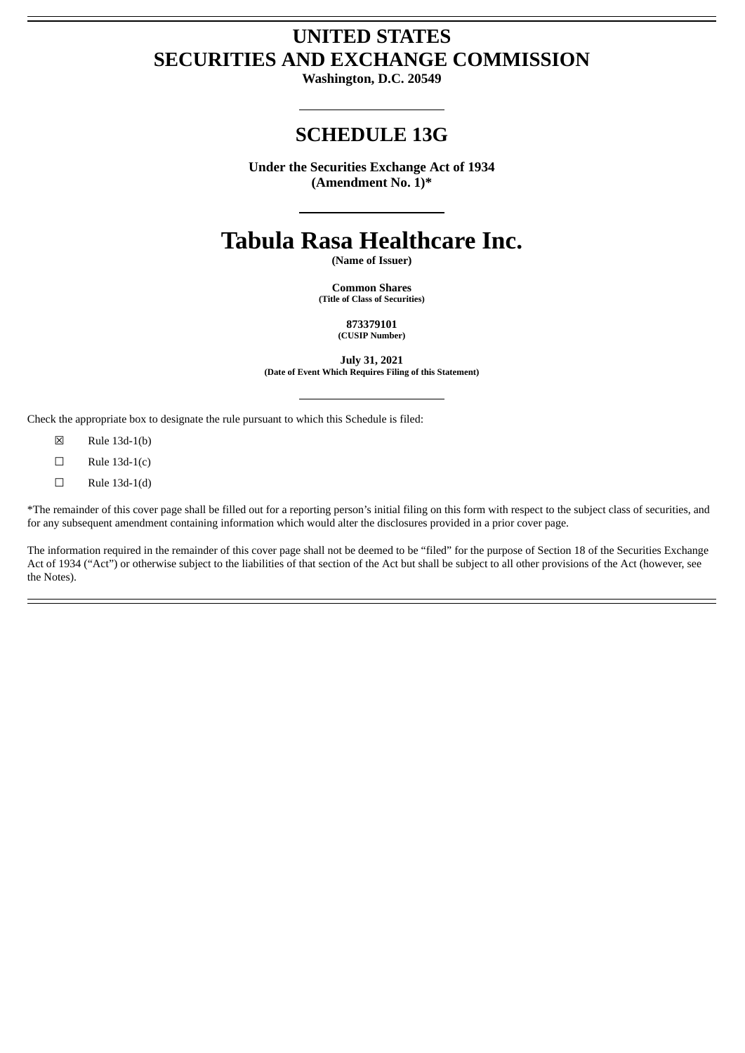# **UNITED STATES SECURITIES AND EXCHANGE COMMISSION**

**Washington, D.C. 20549**

# **SCHEDULE 13G**

**Under the Securities Exchange Act of 1934 (Amendment No. 1)\***

# **Tabula Rasa Healthcare Inc.**

**(Name of Issuer)**

**Common Shares (Title of Class of Securities)**

> **873379101 (CUSIP Number)**

**July 31, 2021 (Date of Event Which Requires Filing of this Statement)**

Check the appropriate box to designate the rule pursuant to which this Schedule is filed:

- ☒ Rule 13d-1(b)
- $\Box$  Rule 13d-1(c)
- $\Box$  Rule 13d-1(d)

\*The remainder of this cover page shall be filled out for a reporting person's initial filing on this form with respect to the subject class of securities, and for any subsequent amendment containing information which would alter the disclosures provided in a prior cover page.

The information required in the remainder of this cover page shall not be deemed to be "filed" for the purpose of Section 18 of the Securities Exchange Act of 1934 ("Act") or otherwise subject to the liabilities of that section of the Act but shall be subject to all other provisions of the Act (however, see the Notes).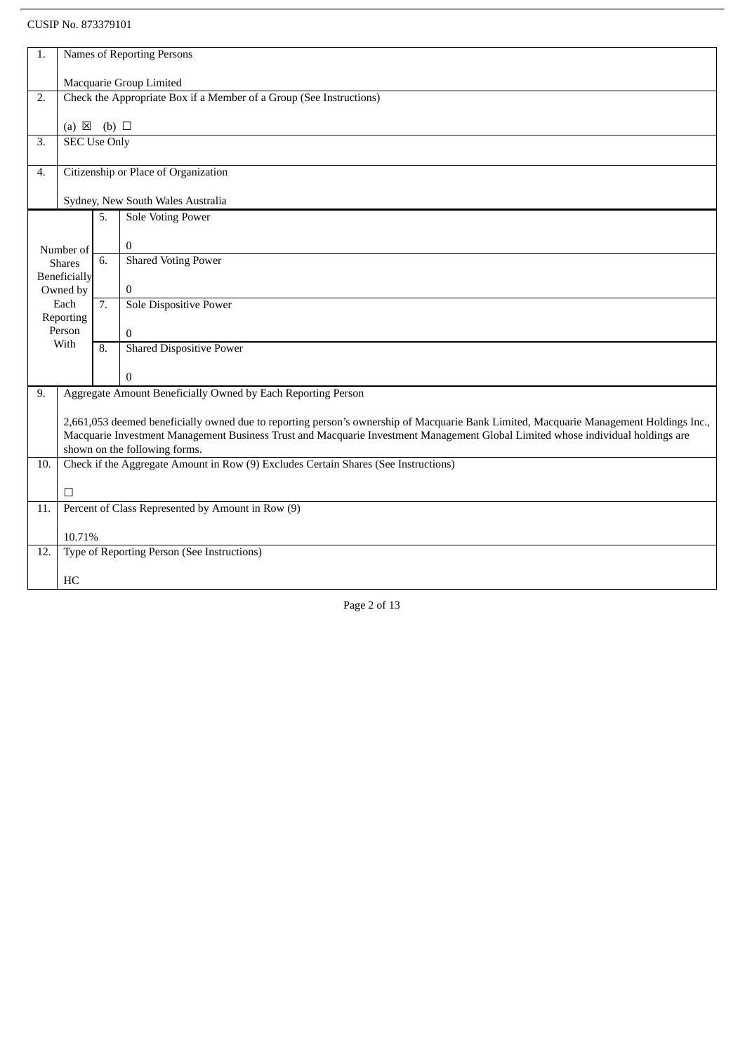| 1.  | Names of Reporting Persons                                                                                                                                                                                                                                                                                 |    |                                             |  |  |
|-----|------------------------------------------------------------------------------------------------------------------------------------------------------------------------------------------------------------------------------------------------------------------------------------------------------------|----|---------------------------------------------|--|--|
|     | Macquarie Group Limited                                                                                                                                                                                                                                                                                    |    |                                             |  |  |
| 2.  | Check the Appropriate Box if a Member of a Group (See Instructions)                                                                                                                                                                                                                                        |    |                                             |  |  |
|     | (a) $\boxtimes$ (b) $\square$                                                                                                                                                                                                                                                                              |    |                                             |  |  |
| 3.  | <b>SEC Use Only</b>                                                                                                                                                                                                                                                                                        |    |                                             |  |  |
| 4.  | Citizenship or Place of Organization                                                                                                                                                                                                                                                                       |    |                                             |  |  |
|     | Sydney, New South Wales Australia                                                                                                                                                                                                                                                                          |    |                                             |  |  |
|     |                                                                                                                                                                                                                                                                                                            | 5. | Sole Voting Power                           |  |  |
|     | Number of                                                                                                                                                                                                                                                                                                  |    | $\Omega$                                    |  |  |
|     | <b>Shares</b>                                                                                                                                                                                                                                                                                              | 6. | <b>Shared Voting Power</b>                  |  |  |
|     | Beneficially<br>Owned by                                                                                                                                                                                                                                                                                   |    | $\bf{0}$                                    |  |  |
|     | Each<br>Reporting                                                                                                                                                                                                                                                                                          | 7. | Sole Dispositive Power                      |  |  |
|     | Person                                                                                                                                                                                                                                                                                                     |    | $\Omega$                                    |  |  |
|     | With                                                                                                                                                                                                                                                                                                       | 8. | <b>Shared Dispositive Power</b>             |  |  |
|     |                                                                                                                                                                                                                                                                                                            |    | $\mathbf{0}$                                |  |  |
| 9.  | Aggregate Amount Beneficially Owned by Each Reporting Person                                                                                                                                                                                                                                               |    |                                             |  |  |
|     | 2,661,053 deemed beneficially owned due to reporting person's ownership of Macquarie Bank Limited, Macquarie Management Holdings Inc.,<br>Macquarie Investment Management Business Trust and Macquarie Investment Management Global Limited whose individual holdings are<br>shown on the following forms. |    |                                             |  |  |
| 10. | Check if the Aggregate Amount in Row (9) Excludes Certain Shares (See Instructions)                                                                                                                                                                                                                        |    |                                             |  |  |
|     | □                                                                                                                                                                                                                                                                                                          |    |                                             |  |  |
| 11. | Percent of Class Represented by Amount in Row (9)                                                                                                                                                                                                                                                          |    |                                             |  |  |
|     | 10.71%                                                                                                                                                                                                                                                                                                     |    |                                             |  |  |
| 12. |                                                                                                                                                                                                                                                                                                            |    | Type of Reporting Person (See Instructions) |  |  |
|     | HC                                                                                                                                                                                                                                                                                                         |    |                                             |  |  |
|     |                                                                                                                                                                                                                                                                                                            |    |                                             |  |  |

Page 2 of 13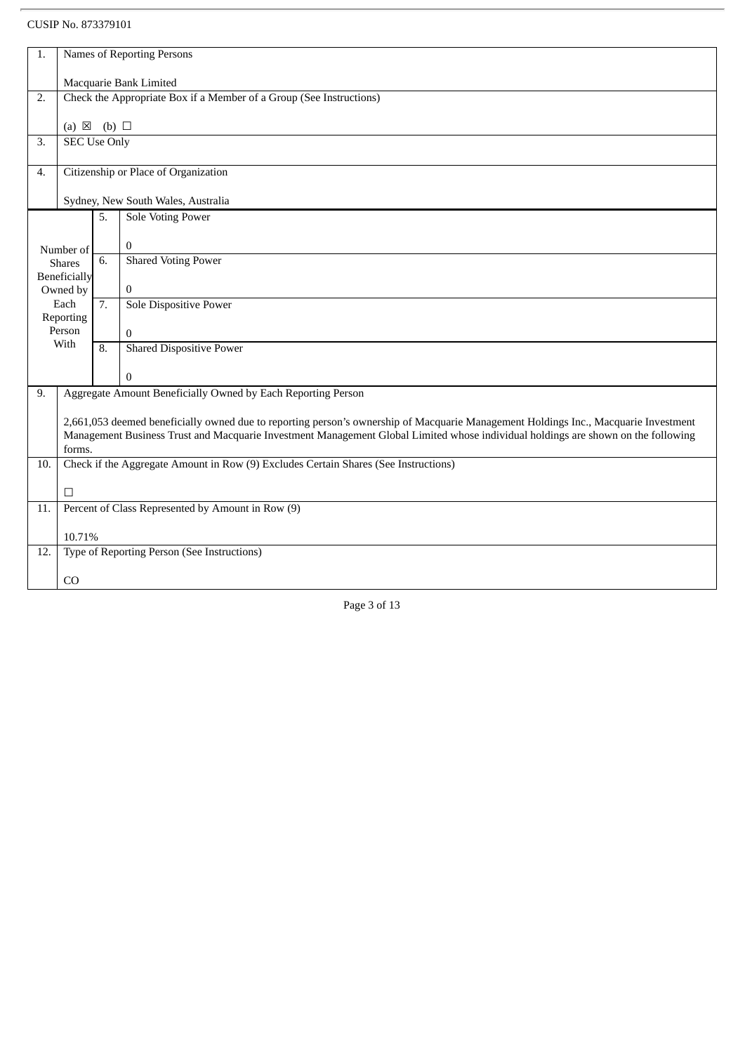| 1.                                            | Names of Reporting Persons                                                                                                                                                                                                                                                         |    |                                                              |  |
|-----------------------------------------------|------------------------------------------------------------------------------------------------------------------------------------------------------------------------------------------------------------------------------------------------------------------------------------|----|--------------------------------------------------------------|--|
|                                               | Macquarie Bank Limited                                                                                                                                                                                                                                                             |    |                                                              |  |
| 2.                                            | Check the Appropriate Box if a Member of a Group (See Instructions)                                                                                                                                                                                                                |    |                                                              |  |
|                                               | (a) $\boxtimes$ (b) $\square$                                                                                                                                                                                                                                                      |    |                                                              |  |
| 3.                                            | <b>SEC Use Only</b>                                                                                                                                                                                                                                                                |    |                                                              |  |
| 4.                                            | Citizenship or Place of Organization                                                                                                                                                                                                                                               |    |                                                              |  |
|                                               |                                                                                                                                                                                                                                                                                    |    | Sydney, New South Wales, Australia                           |  |
|                                               |                                                                                                                                                                                                                                                                                    | 5. | Sole Voting Power                                            |  |
|                                               | Number of                                                                                                                                                                                                                                                                          |    | $\mathbf{0}$                                                 |  |
|                                               | <b>Shares</b>                                                                                                                                                                                                                                                                      | 6. | <b>Shared Voting Power</b>                                   |  |
|                                               | <b>Beneficially</b><br>Owned by                                                                                                                                                                                                                                                    |    | $\mathbf{0}$                                                 |  |
|                                               | Each<br>Reporting                                                                                                                                                                                                                                                                  | 7. | <b>Sole Dispositive Power</b>                                |  |
|                                               | Person                                                                                                                                                                                                                                                                             |    | $\mathbf{0}$                                                 |  |
| With<br><b>Shared Dispositive Power</b><br>8. |                                                                                                                                                                                                                                                                                    |    |                                                              |  |
|                                               |                                                                                                                                                                                                                                                                                    |    | $\mathbf{0}$                                                 |  |
| 9.                                            |                                                                                                                                                                                                                                                                                    |    | Aggregate Amount Beneficially Owned by Each Reporting Person |  |
|                                               | 2,661,053 deemed beneficially owned due to reporting person's ownership of Macquarie Management Holdings Inc., Macquarie Investment<br>Management Business Trust and Macquarie Investment Management Global Limited whose individual holdings are shown on the following<br>forms. |    |                                                              |  |
| 10.                                           | Check if the Aggregate Amount in Row (9) Excludes Certain Shares (See Instructions)                                                                                                                                                                                                |    |                                                              |  |
|                                               | П                                                                                                                                                                                                                                                                                  |    |                                                              |  |
| 11.                                           | Percent of Class Represented by Amount in Row (9)                                                                                                                                                                                                                                  |    |                                                              |  |
|                                               | 10.71%                                                                                                                                                                                                                                                                             |    |                                                              |  |
| 12.                                           |                                                                                                                                                                                                                                                                                    |    | Type of Reporting Person (See Instructions)                  |  |
|                                               | CO                                                                                                                                                                                                                                                                                 |    |                                                              |  |
|                                               |                                                                                                                                                                                                                                                                                    |    | Page 3 of 13                                                 |  |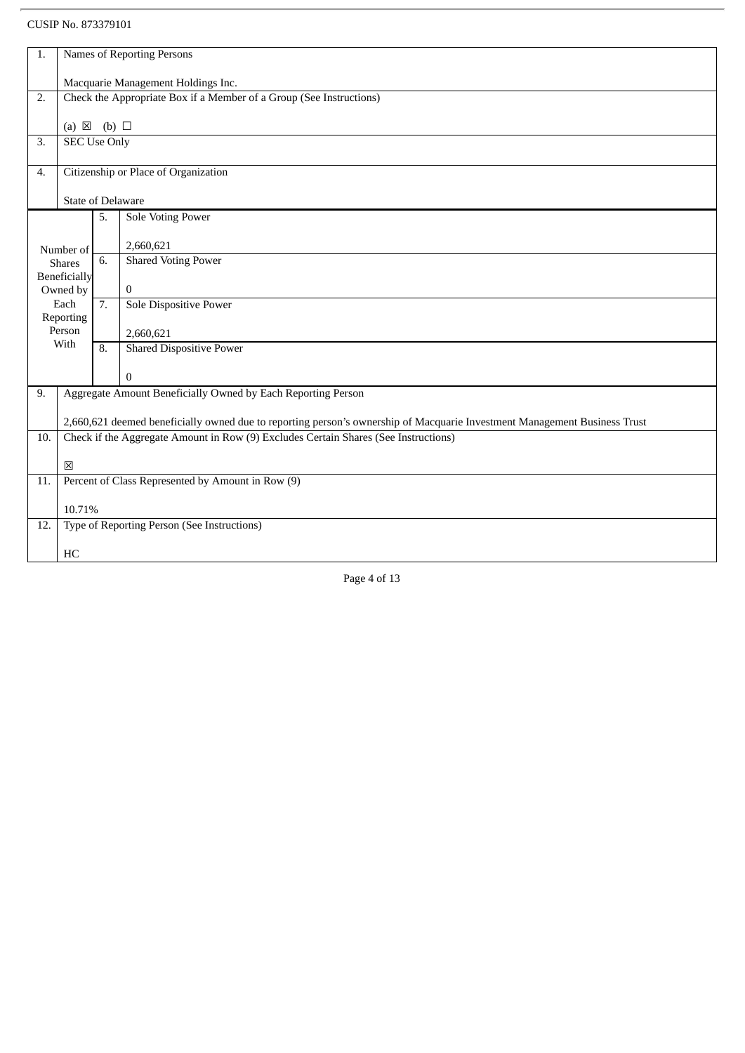| 1.  | <b>Names of Reporting Persons</b>                                                                                         |                  |                                                              |  |  |
|-----|---------------------------------------------------------------------------------------------------------------------------|------------------|--------------------------------------------------------------|--|--|
|     |                                                                                                                           |                  |                                                              |  |  |
|     | Macquarie Management Holdings Inc.                                                                                        |                  |                                                              |  |  |
| 2.  | Check the Appropriate Box if a Member of a Group (See Instructions)                                                       |                  |                                                              |  |  |
|     | (a) $\boxtimes$ (b) $\square$                                                                                             |                  |                                                              |  |  |
| 3.  | <b>SEC Use Only</b>                                                                                                       |                  |                                                              |  |  |
|     |                                                                                                                           |                  |                                                              |  |  |
| 4.  |                                                                                                                           |                  | Citizenship or Place of Organization                         |  |  |
|     |                                                                                                                           |                  |                                                              |  |  |
|     | <b>State of Delaware</b>                                                                                                  |                  |                                                              |  |  |
|     |                                                                                                                           | 5.               | Sole Voting Power                                            |  |  |
|     |                                                                                                                           |                  | 2,660,621                                                    |  |  |
|     | Number of<br><b>Shares</b>                                                                                                | 6.               | <b>Shared Voting Power</b>                                   |  |  |
|     | Beneficially                                                                                                              |                  |                                                              |  |  |
|     | Owned by                                                                                                                  |                  | $\boldsymbol{0}$                                             |  |  |
|     | Each                                                                                                                      | $\overline{7}$ . | Sole Dispositive Power                                       |  |  |
|     | Reporting<br>Person                                                                                                       |                  |                                                              |  |  |
|     | With                                                                                                                      |                  | 2,660,621                                                    |  |  |
|     |                                                                                                                           | 8.               | <b>Shared Dispositive Power</b>                              |  |  |
|     |                                                                                                                           |                  | $\mathbf{0}$                                                 |  |  |
| 9.  |                                                                                                                           |                  | Aggregate Amount Beneficially Owned by Each Reporting Person |  |  |
|     |                                                                                                                           |                  |                                                              |  |  |
|     | 2,660,621 deemed beneficially owned due to reporting person's ownership of Macquarie Investment Management Business Trust |                  |                                                              |  |  |
| 10. | Check if the Aggregate Amount in Row (9) Excludes Certain Shares (See Instructions)                                       |                  |                                                              |  |  |
|     |                                                                                                                           |                  |                                                              |  |  |
| 11. | 区<br>Percent of Class Represented by Amount in Row (9)                                                                    |                  |                                                              |  |  |
|     |                                                                                                                           |                  |                                                              |  |  |
|     | 10.71%                                                                                                                    |                  |                                                              |  |  |
| 12. | Type of Reporting Person (See Instructions)                                                                               |                  |                                                              |  |  |
|     |                                                                                                                           |                  |                                                              |  |  |
|     | HC                                                                                                                        |                  |                                                              |  |  |
|     |                                                                                                                           |                  |                                                              |  |  |

Page 4 of 13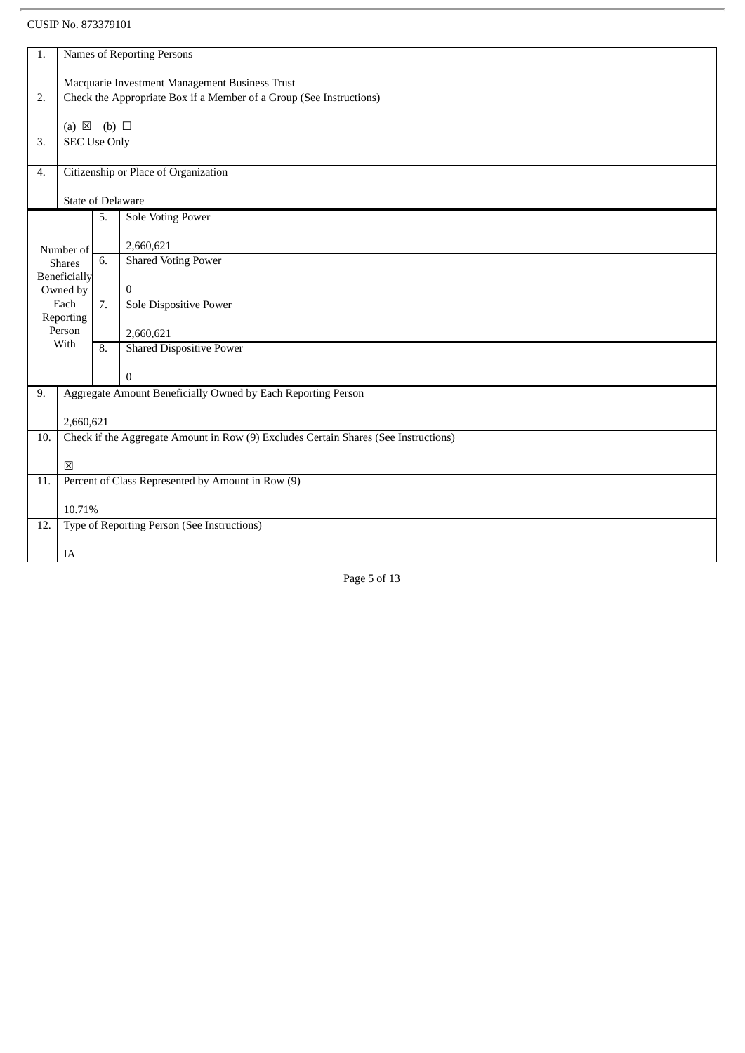| 1.                                                                        | Names of Reporting Persons                                                          |    |                                                              |  |  |
|---------------------------------------------------------------------------|-------------------------------------------------------------------------------------|----|--------------------------------------------------------------|--|--|
| Macquarie Investment Management Business Trust                            |                                                                                     |    |                                                              |  |  |
| Check the Appropriate Box if a Member of a Group (See Instructions)<br>2. |                                                                                     |    |                                                              |  |  |
|                                                                           |                                                                                     |    |                                                              |  |  |
| 3.                                                                        | (a) $\boxtimes$ (b) $\square$<br><b>SEC Use Only</b>                                |    |                                                              |  |  |
| 4.                                                                        |                                                                                     |    |                                                              |  |  |
|                                                                           | Citizenship or Place of Organization                                                |    |                                                              |  |  |
|                                                                           | <b>State of Delaware</b>                                                            |    |                                                              |  |  |
|                                                                           |                                                                                     | 5. | Sole Voting Power                                            |  |  |
|                                                                           | Number of                                                                           |    | 2,660,621                                                    |  |  |
|                                                                           | <b>Shares</b>                                                                       | 6. | <b>Shared Voting Power</b>                                   |  |  |
|                                                                           | <b>Beneficially</b><br>Owned by                                                     |    | $\mathbf{0}$                                                 |  |  |
|                                                                           | Each                                                                                | 7. | <b>Sole Dispositive Power</b>                                |  |  |
|                                                                           | Reporting<br>Person                                                                 |    | 2,660,621                                                    |  |  |
|                                                                           | With                                                                                | 8. | <b>Shared Dispositive Power</b>                              |  |  |
|                                                                           |                                                                                     |    | $\boldsymbol{0}$                                             |  |  |
| 9.                                                                        |                                                                                     |    | Aggregate Amount Beneficially Owned by Each Reporting Person |  |  |
|                                                                           | 2,660,621                                                                           |    |                                                              |  |  |
| 10.                                                                       | Check if the Aggregate Amount in Row (9) Excludes Certain Shares (See Instructions) |    |                                                              |  |  |
|                                                                           | $\boxtimes$                                                                         |    |                                                              |  |  |
| 11.                                                                       | Percent of Class Represented by Amount in Row (9)                                   |    |                                                              |  |  |
|                                                                           |                                                                                     |    |                                                              |  |  |
| 10.71%<br>Type of Reporting Person (See Instructions)<br>12.              |                                                                                     |    |                                                              |  |  |
|                                                                           |                                                                                     |    |                                                              |  |  |
|                                                                           | IA                                                                                  |    |                                                              |  |  |

Page 5 of 13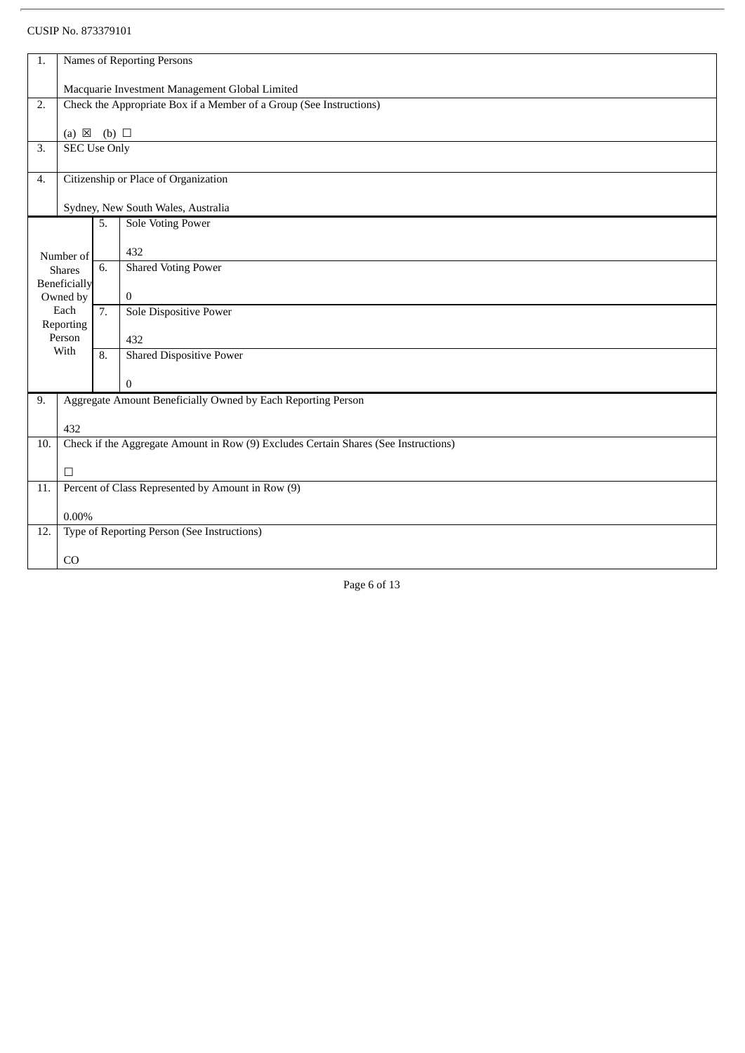| 1.  | Names of Reporting Persons                                                                 |                  |                                                              |  |  |
|-----|--------------------------------------------------------------------------------------------|------------------|--------------------------------------------------------------|--|--|
|     | Macquarie Investment Management Global Limited                                             |                  |                                                              |  |  |
| 2.  | Check the Appropriate Box if a Member of a Group (See Instructions)                        |                  |                                                              |  |  |
|     |                                                                                            |                  |                                                              |  |  |
| 3.  | (a) $\boxtimes$ (b) $\square$<br><b>SEC Use Only</b>                                       |                  |                                                              |  |  |
|     |                                                                                            |                  |                                                              |  |  |
| 4.  |                                                                                            |                  | Citizenship or Place of Organization                         |  |  |
|     |                                                                                            |                  | Sydney, New South Wales, Australia                           |  |  |
|     |                                                                                            | 5.               | <b>Sole Voting Power</b>                                     |  |  |
|     |                                                                                            |                  | 432                                                          |  |  |
|     | Number of<br><b>Shares</b>                                                                 | 6.               | <b>Shared Voting Power</b>                                   |  |  |
|     | <b>Beneficially</b>                                                                        |                  |                                                              |  |  |
|     | Owned by<br>Each                                                                           | 7.               | $\overline{0}$<br>Sole Dispositive Power                     |  |  |
|     | Reporting                                                                                  |                  |                                                              |  |  |
|     | Person                                                                                     |                  | 432                                                          |  |  |
|     | With                                                                                       | $\overline{8}$ . | <b>Shared Dispositive Power</b>                              |  |  |
|     |                                                                                            |                  | $\overline{0}$                                               |  |  |
| 9.  |                                                                                            |                  | Aggregate Amount Beneficially Owned by Each Reporting Person |  |  |
|     |                                                                                            |                  |                                                              |  |  |
| 10. | 432<br>Check if the Aggregate Amount in Row (9) Excludes Certain Shares (See Instructions) |                  |                                                              |  |  |
|     |                                                                                            |                  |                                                              |  |  |
|     | $\Box$                                                                                     |                  |                                                              |  |  |
| 11. | Percent of Class Represented by Amount in Row (9)                                          |                  |                                                              |  |  |
|     | $0.00\%$                                                                                   |                  |                                                              |  |  |
| 12. |                                                                                            |                  | Type of Reporting Person (See Instructions)                  |  |  |
|     | CO                                                                                         |                  |                                                              |  |  |
|     |                                                                                            |                  |                                                              |  |  |

Page 6 of 13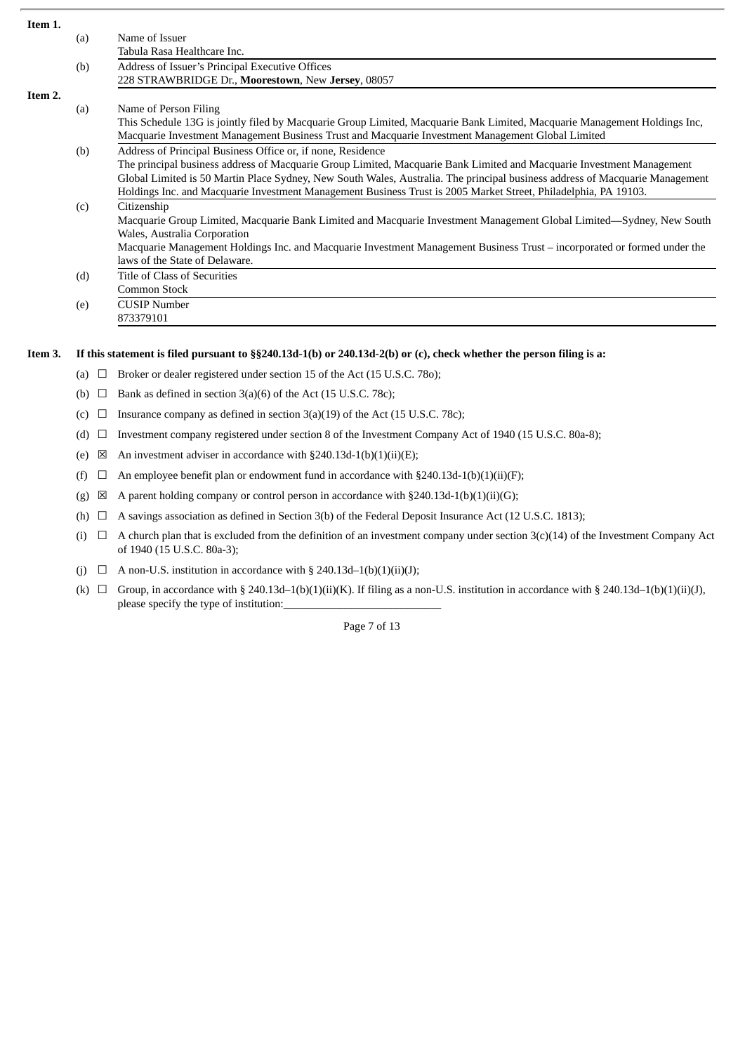| Item 1. |                                            |                                                                                                                              |  |
|---------|--------------------------------------------|------------------------------------------------------------------------------------------------------------------------------|--|
|         | (a)                                        | Name of Issuer                                                                                                               |  |
|         |                                            | Tabula Rasa Healthcare Inc.                                                                                                  |  |
|         | (b)                                        | Address of Issuer's Principal Executive Offices                                                                              |  |
|         |                                            | 228 STRAWBRIDGE Dr., Moorestown, New Jersey, 08057                                                                           |  |
| Item 2. |                                            |                                                                                                                              |  |
|         | (a)                                        | Name of Person Filing                                                                                                        |  |
|         |                                            | This Schedule 13G is jointly filed by Macquarie Group Limited, Macquarie Bank Limited, Macquarie Management Holdings Inc,    |  |
|         |                                            | Macquarie Investment Management Business Trust and Macquarie Investment Management Global Limited                            |  |
|         | (b)                                        | Address of Principal Business Office or, if none, Residence                                                                  |  |
|         |                                            | The principal business address of Macquarie Group Limited, Macquarie Bank Limited and Macquarie Investment Management        |  |
|         |                                            | Global Limited is 50 Martin Place Sydney, New South Wales, Australia. The principal business address of Macquarie Management |  |
|         |                                            | Holdings Inc. and Macquarie Investment Management Business Trust is 2005 Market Street, Philadelphia, PA 19103.              |  |
|         | (c)                                        | Citizenship                                                                                                                  |  |
|         |                                            | Macquarie Group Limited, Macquarie Bank Limited and Macquarie Investment Management Global Limited—Sydney, New South         |  |
|         |                                            | Wales, Australia Corporation                                                                                                 |  |
|         |                                            | Macquarie Management Holdings Inc. and Macquarie Investment Management Business Trust – incorporated or formed under the     |  |
|         |                                            | laws of the State of Delaware.                                                                                               |  |
|         | <b>Title of Class of Securities</b><br>(d) |                                                                                                                              |  |
|         |                                            | Common Stock                                                                                                                 |  |
|         | (e)                                        | <b>CUSIP Number</b>                                                                                                          |  |
|         |                                            | 873379101                                                                                                                    |  |
|         |                                            |                                                                                                                              |  |

## Item 3. If this statement is filed pursuant to §§240.13d-1(b) or 240.13d-2(b) or (c), check whether the person filing is a:

- (a)  $\Box$  Broker or dealer registered under section 15 of the Act (15 U.S.C. 780);
- (b)  $\Box$  Bank as defined in section 3(a)(6) of the Act (15 U.S.C. 78c);
- (c)  $\Box$  Insurance company as defined in section 3(a)(19) of the Act (15 U.S.C. 78c);
- (d)  $\Box$  Investment company registered under section 8 of the Investment Company Act of 1940 (15 U.S.C. 80a-8);
- (e)  $\boxtimes$  An investment adviser in accordance with §240.13d-1(b)(1)(ii)(E);
- (f)  $\Box$  An employee benefit plan or endowment fund in accordance with §240.13d-1(b)(1)(ii)(F);
- (g)  $\boxtimes$  A parent holding company or control person in accordance with §240.13d-1(b)(1)(ii)(G);
- (h)  $\Box$  A savings association as defined in Section 3(b) of the Federal Deposit Insurance Act (12 U.S.C. 1813);
- (i)  $□$  A church plan that is excluded from the definition of an investment company under section 3(c)(14) of the Investment Company Act of 1940 (15 U.S.C. 80a-3);
- (j)  $\Box$  A non-U.S. institution in accordance with § 240.13d-1(b)(1)(ii)(J);
- (k)  $\Box$  Group, in accordance with § 240.13d–1(b)(1)(ii)(K). If filing as a non-U.S. institution in accordance with § 240.13d–1(b)(1)(ii)(J), please specify the type of institution:

Page 7 of 13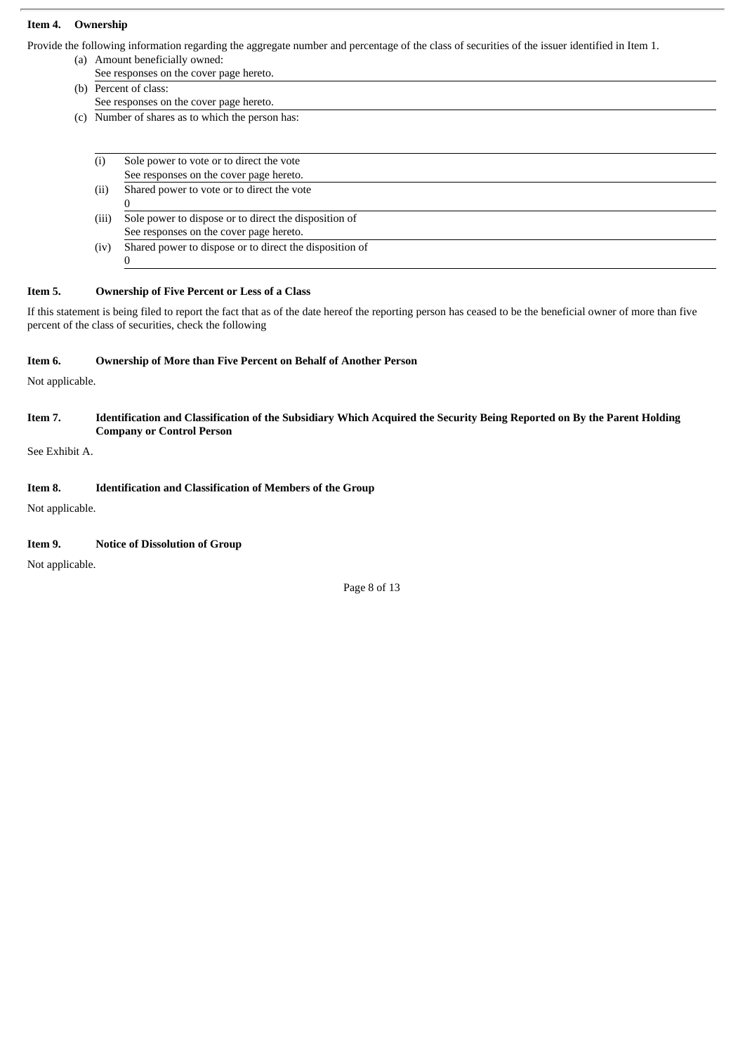#### **Item 4. Ownership**

Provide the following information regarding the aggregate number and percentage of the class of securities of the issuer identified in Item 1.

- (a) Amount beneficially owned: See responses on the cover page hereto.
- (b) Percent of class: See responses on the cover page hereto.
- (c) Number of shares as to which the person has:

| $\left( 1\right)$ | Sole power to vote or to direct the vote                |
|-------------------|---------------------------------------------------------|
|                   | See responses on the cover page hereto.                 |
| (ii)              | Shared power to vote or to direct the vote              |
|                   |                                                         |
| (iii)             | Sole power to dispose or to direct the disposition of   |
|                   | See responses on the cover page hereto.                 |
| (iv)              | Shared power to dispose or to direct the disposition of |
|                   |                                                         |

#### **Item 5. Ownership of Five Percent or Less of a Class**

If this statement is being filed to report the fact that as of the date hereof the reporting person has ceased to be the beneficial owner of more than five percent of the class of securities, check the following

#### **Item 6. Ownership of More than Five Percent on Behalf of Another Person**

Not applicable.

#### Item 7. Identification and Classification of the Subsidiary Which Acquired the Security Being Reported on By the Parent Holding **Company or Control Person**

See Exhibit A.

# **Item 8. Identification and Classification of Members of the Group**

Not applicable.

## **Item 9. Notice of Dissolution of Group**

Not applicable.

Page 8 of 13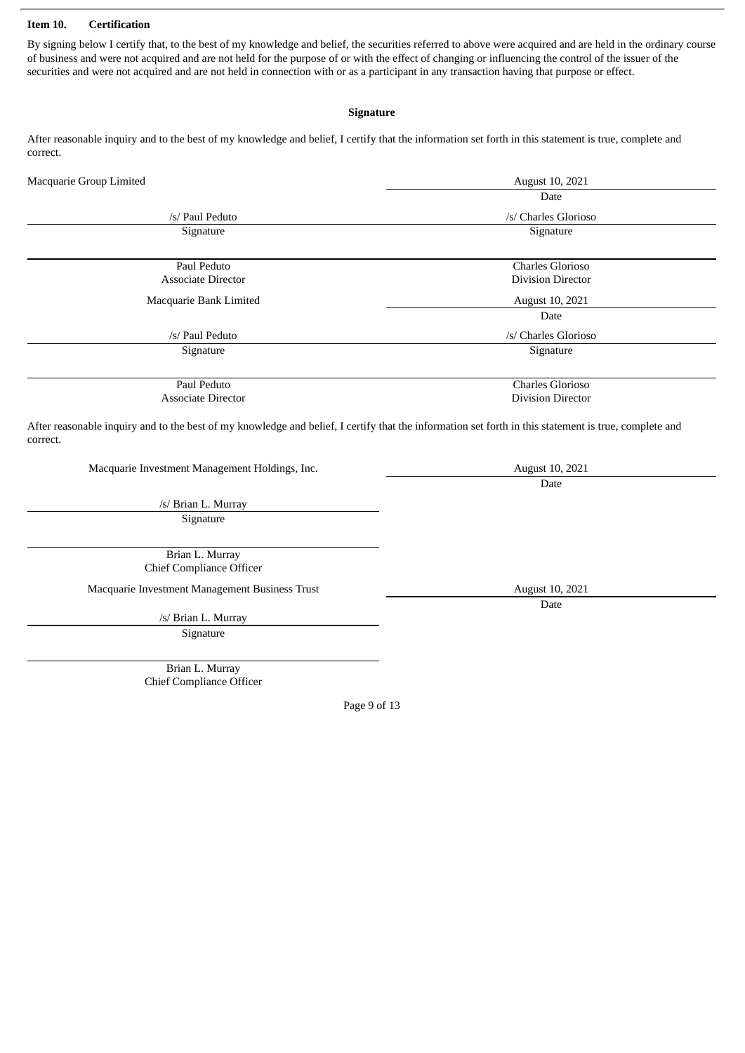#### **Item 10. Certification**

By signing below I certify that, to the best of my knowledge and belief, the securities referred to above were acquired and are held in the ordinary course of business and were not acquired and are not held for the purpose of or with the effect of changing or influencing the control of the issuer of the securities and were not acquired and are not held in connection with or as a participant in any transaction having that purpose or effect.

#### **Signature**

After reasonable inquiry and to the best of my knowledge and belief, I certify that the information set forth in this statement is true, complete and correct.

| Macquarie Group Limited                                                                                                                                           | August 10, 2021          |  |
|-------------------------------------------------------------------------------------------------------------------------------------------------------------------|--------------------------|--|
|                                                                                                                                                                   | Date                     |  |
| /s/ Paul Peduto                                                                                                                                                   | /s/ Charles Glorioso     |  |
| Signature                                                                                                                                                         | Signature                |  |
| Paul Peduto                                                                                                                                                       | <b>Charles Glorioso</b>  |  |
| <b>Associate Director</b>                                                                                                                                         | <b>Division Director</b> |  |
| Macquarie Bank Limited                                                                                                                                            | August 10, 2021          |  |
|                                                                                                                                                                   | Date                     |  |
| /s/ Paul Peduto                                                                                                                                                   | /s/ Charles Glorioso     |  |
| Signature                                                                                                                                                         | Signature                |  |
| Paul Peduto                                                                                                                                                       | <b>Charles Glorioso</b>  |  |
| <b>Associate Director</b>                                                                                                                                         | <b>Division Director</b> |  |
| After reasonable inquiry and to the best of my knowledge and belief, I certify that the information set forth in this statement is true, complete and<br>correct. |                          |  |
| Macquarie Investment Management Holdings, Inc.                                                                                                                    | August 10, 2021          |  |
|                                                                                                                                                                   | Date                     |  |
| /s/ Brian L. Murray                                                                                                                                               |                          |  |
| Signature                                                                                                                                                         |                          |  |
| Brian L. Murray<br><b>Chief Compliance Officer</b>                                                                                                                |                          |  |
| Macquarie Investment Management Business Trust                                                                                                                    | August 10, 2021          |  |
|                                                                                                                                                                   | Date                     |  |
| /s/ Brian L. Murray                                                                                                                                               |                          |  |
| Signature                                                                                                                                                         |                          |  |
| Brian L. Murray                                                                                                                                                   |                          |  |
| <b>Chief Compliance Officer</b>                                                                                                                                   |                          |  |
|                                                                                                                                                                   | Page 9 of 13             |  |
|                                                                                                                                                                   |                          |  |
|                                                                                                                                                                   |                          |  |
|                                                                                                                                                                   |                          |  |
|                                                                                                                                                                   |                          |  |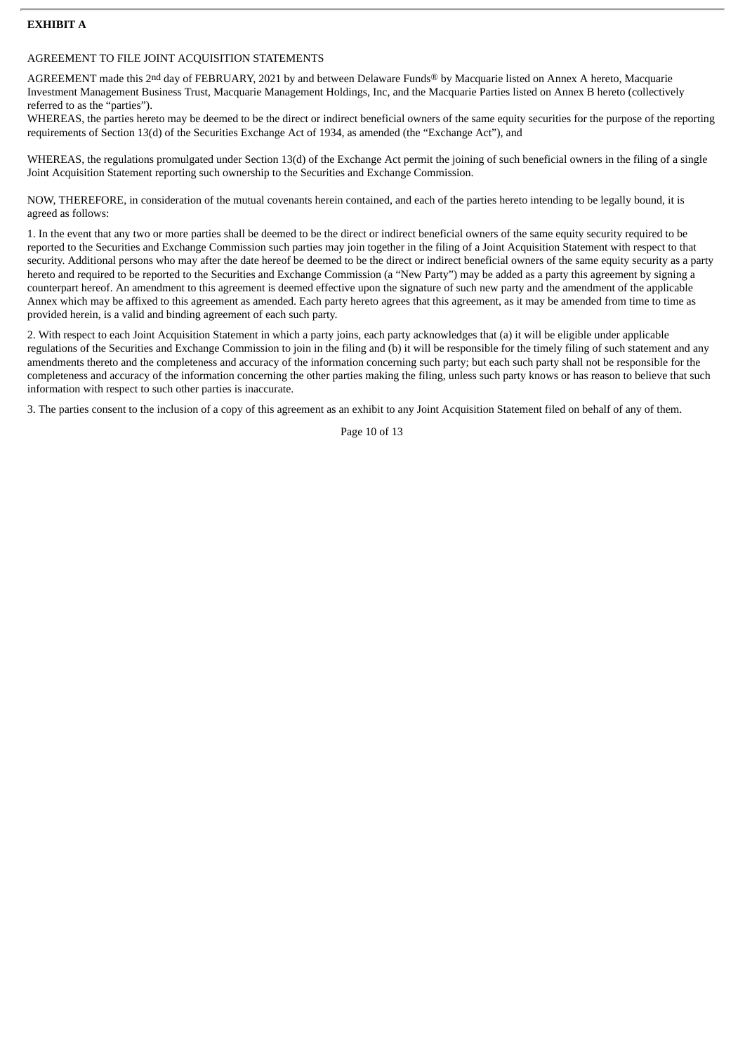## **EXHIBIT A**

#### AGREEMENT TO FILE JOINT ACQUISITION STATEMENTS

AGREEMENT made this 2nd day of FEBRUARY, 2021 by and between Delaware Funds® by Macquarie listed on Annex A hereto, Macquarie Investment Management Business Trust, Macquarie Management Holdings, Inc, and the Macquarie Parties listed on Annex B hereto (collectively referred to as the "parties").

WHEREAS, the parties hereto may be deemed to be the direct or indirect beneficial owners of the same equity securities for the purpose of the reporting requirements of Section 13(d) of the Securities Exchange Act of 1934, as amended (the "Exchange Act"), and

WHEREAS, the regulations promulgated under Section 13(d) of the Exchange Act permit the joining of such beneficial owners in the filing of a single Joint Acquisition Statement reporting such ownership to the Securities and Exchange Commission.

NOW, THEREFORE, in consideration of the mutual covenants herein contained, and each of the parties hereto intending to be legally bound, it is agreed as follows:

1. In the event that any two or more parties shall be deemed to be the direct or indirect beneficial owners of the same equity security required to be reported to the Securities and Exchange Commission such parties may join together in the filing of a Joint Acquisition Statement with respect to that security. Additional persons who may after the date hereof be deemed to be the direct or indirect beneficial owners of the same equity security as a party hereto and required to be reported to the Securities and Exchange Commission (a "New Party") may be added as a party this agreement by signing a counterpart hereof. An amendment to this agreement is deemed effective upon the signature of such new party and the amendment of the applicable Annex which may be affixed to this agreement as amended. Each party hereto agrees that this agreement, as it may be amended from time to time as provided herein, is a valid and binding agreement of each such party.

2. With respect to each Joint Acquisition Statement in which a party joins, each party acknowledges that (a) it will be eligible under applicable regulations of the Securities and Exchange Commission to join in the filing and (b) it will be responsible for the timely filing of such statement and any amendments thereto and the completeness and accuracy of the information concerning such party; but each such party shall not be responsible for the completeness and accuracy of the information concerning the other parties making the filing, unless such party knows or has reason to believe that such information with respect to such other parties is inaccurate.

3. The parties consent to the inclusion of a copy of this agreement as an exhibit to any Joint Acquisition Statement filed on behalf of any of them.

Page 10 of 13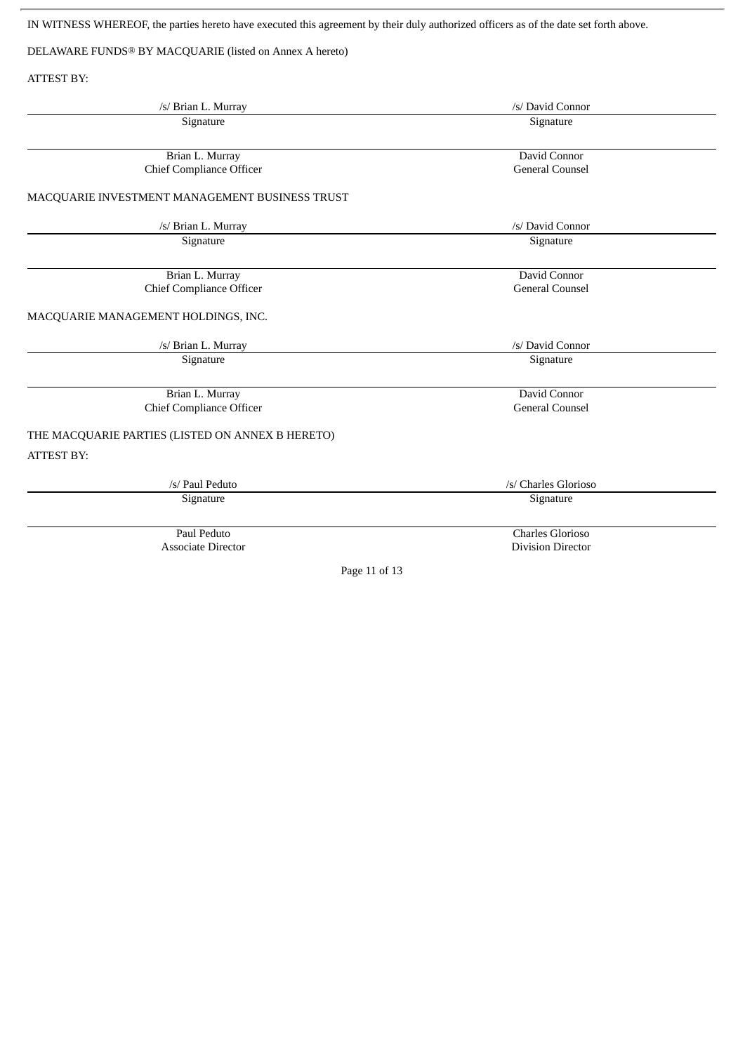IN WITNESS WHEREOF, the parties hereto have executed this agreement by their duly authorized officers as of the date set forth above.

DELAWARE FUNDS® BY MACQUARIE (listed on Annex A hereto)

ATTEST BY:

| /s/ Brian L. Murray                                | /s/ David Connor                       |
|----------------------------------------------------|----------------------------------------|
| Signature                                          | Signature                              |
| Brian L. Murray<br><b>Chief Compliance Officer</b> | David Connor<br><b>General Counsel</b> |
| MACQUARIE INVESTMENT MANAGEMENT BUSINESS TRUST     |                                        |
|                                                    |                                        |
| /s/ Brian L. Murray                                | /s/ David Connor                       |
| Signature                                          | Signature                              |
| Brian L. Murray                                    | David Connor                           |
| <b>Chief Compliance Officer</b>                    | <b>General Counsel</b>                 |
| MACQUARIE MANAGEMENT HOLDINGS, INC.                |                                        |
| /s/ Brian L. Murray                                | /s/ David Connor                       |
| Signature                                          | Signature                              |
| Brian L. Murray                                    | David Connor                           |
| <b>Chief Compliance Officer</b>                    | <b>General Counsel</b>                 |
| THE MACQUARIE PARTIES (LISTED ON ANNEX B HERETO)   |                                        |
| <b>ATTEST BY:</b>                                  |                                        |
| /s/ Paul Peduto                                    | /s/ Charles Glorioso                   |
| Signature                                          | Signature                              |
| Paul Peduto                                        | Charles Glorioso                       |
| <b>Associate Director</b>                          | <b>Division Director</b>               |
| Page 11 of 13                                      |                                        |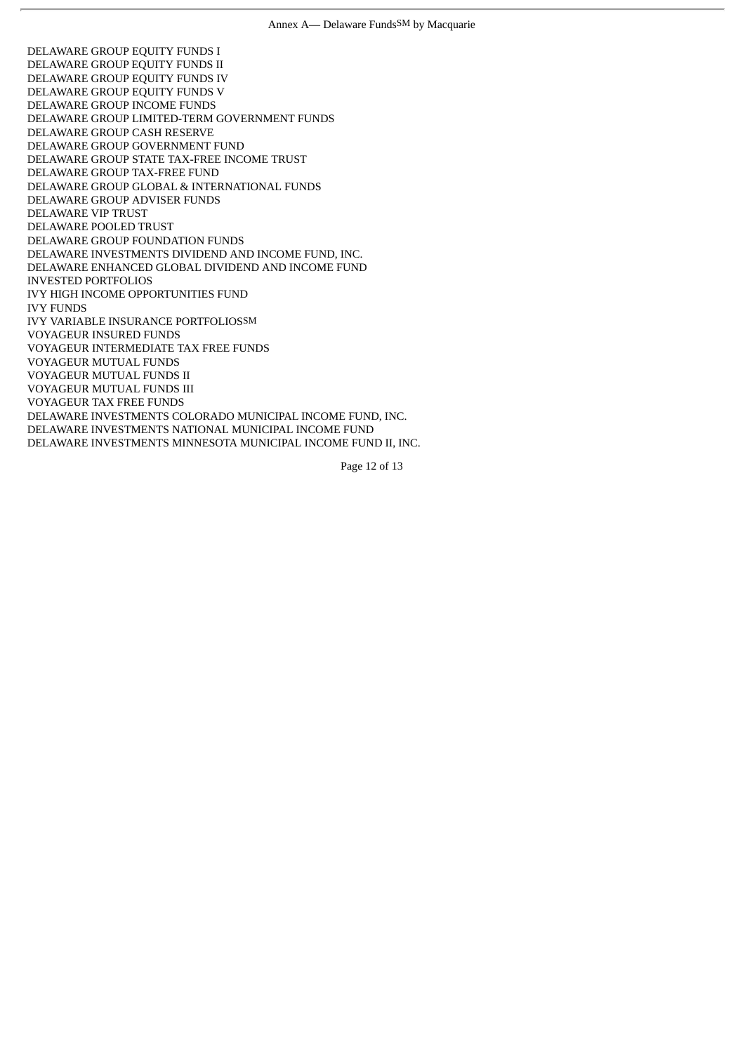DELAWARE GROUP EQUITY FUNDS I DELAWARE GROUP EQUITY FUNDS II DELAWARE GROUP EQUITY FUNDS IV DELAWARE GROUP EQUITY FUNDS V DELAWARE GROUP INCOME FUNDS DELAWARE GROUP LIMITED-TERM GOVERNMENT FUNDS DELAWARE GROUP CASH RESERVE DELAWARE GROUP GOVERNMENT FUND DELAWARE GROUP STATE TAX-FREE INCOME TRUST DELAWARE GROUP TAX-FREE FUND DELAWARE GROUP GLOBAL & INTERNATIONAL FUNDS DELAWARE GROUP ADVISER FUNDS DELAWARE VIP TRUST DELAWARE POOLED TRUST DELAWARE GROUP FOUNDATION FUNDS DELAWARE INVESTMENTS DIVIDEND AND INCOME FUND, INC. DELAWARE ENHANCED GLOBAL DIVIDEND AND INCOME FUND INVESTED PORTFOLIOS IVY HIGH INCOME OPPORTUNITIES FUND IVY FUNDS IVY VARIABLE INSURANCE PORTFOLIOSSM VOYAGEUR INSURED FUNDS VOYAGEUR INTERMEDIATE TAX FREE FUNDS VOYAGEUR MUTUAL FUNDS VOYAGEUR MUTUAL FUNDS II VOYAGEUR MUTUAL FUNDS III VOYAGEUR TAX FREE FUNDS DELAWARE INVESTMENTS COLORADO MUNICIPAL INCOME FUND, INC. DELAWARE INVESTMENTS NATIONAL MUNICIPAL INCOME FUND DELAWARE INVESTMENTS MINNESOTA MUNICIPAL INCOME FUND II, INC.

Page 12 of 13